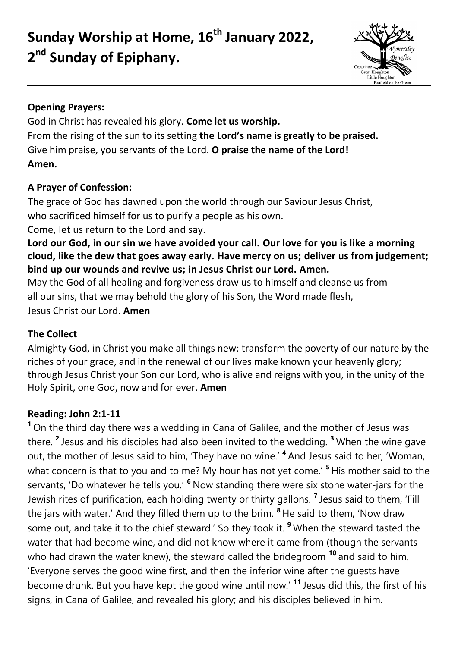**Sunday Worship at Home, 16th January 2022, 2 nd Sunday of Epiphany.**



## **Opening Prayers:**

God in Christ has revealed his glory. **Come let us worship.** From the rising of the sun to its setting **the Lord's name is greatly to be praised.** Give him praise, you servants of the Lord. **O praise the name of the Lord! Amen.**

## **A Prayer of Confession:**

The grace of God has dawned upon the world through our Saviour Jesus Christ, who sacrificed himself for us to purify a people as his own.

Come, let us return to the Lord and say.

**Lord our God, in our sin we have avoided your call. Our love for you is like a morning cloud, like the dew that goes away early. Have mercy on us; deliver us from judgement; bind up our wounds and revive us; in Jesus Christ our Lord. Amen.**

May the God of all healing and forgiveness draw us to himself and cleanse us from all our sins, that we may behold the glory of his Son, the Word made flesh, Jesus Christ our Lord. **Amen**

# **The Collect**

Almighty God, in Christ you make all things new: transform the poverty of our nature by the riches of your grace, and in the renewal of our lives make known your heavenly glory; through Jesus Christ your Son our Lord, who is alive and reigns with you, in the unity of the Holy Spirit, one God, now and for ever. **Amen**

## **Reading: John 2:1-11**

**<sup>1</sup>** On the third day there was a wedding in Cana of Galilee, and the mother of Jesus was there. **<sup>2</sup>** Jesus and his disciples had also been invited to the wedding. **<sup>3</sup>** When the wine gave out, the mother of Jesus said to him, 'They have no wine.' **<sup>4</sup>** And Jesus said to her, 'Woman, what concern is that to you and to me? My hour has not yet come.' **<sup>5</sup>** His mother said to the servants, 'Do whatever he tells you.' **<sup>6</sup>** Now standing there were six stone water-jars for the Jewish rites of purification, each holding twenty or thirty gallons. **<sup>7</sup>** Jesus said to them, 'Fill the jars with water.' And they filled them up to the brim. **<sup>8</sup>** He said to them, 'Now draw some out, and take it to the chief steward.' So they took it. **<sup>9</sup>** When the steward tasted the water that had become wine, and did not know where it came from (though the servants who had drawn the water knew), the steward called the bridegroom **<sup>10</sup>** and said to him, 'Everyone serves the good wine first, and then the inferior wine after the guests have become drunk. But you have kept the good wine until now.' **<sup>11</sup>** Jesus did this, the first of his signs, in Cana of Galilee, and revealed his glory; and his disciples believed in him.